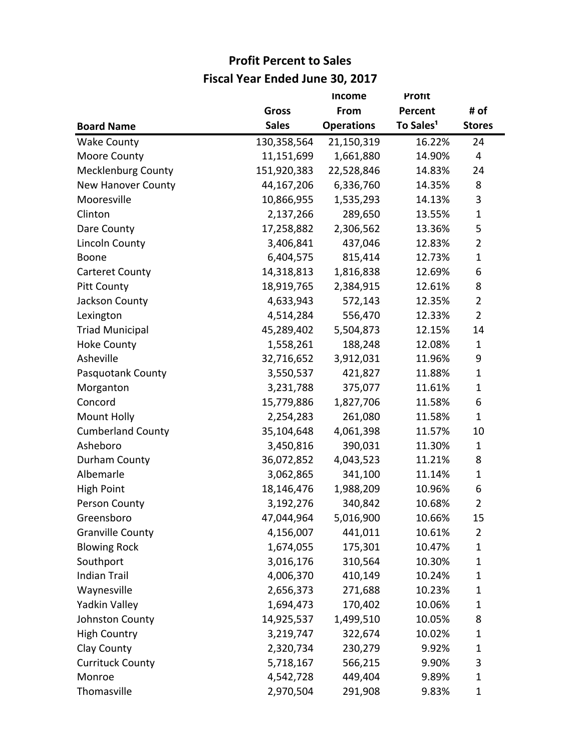|                           |              | <b>Income</b>     | Protit                |                |
|---------------------------|--------------|-------------------|-----------------------|----------------|
|                           | <b>Gross</b> | From              | Percent               | # of           |
| <b>Board Name</b>         | <b>Sales</b> | <b>Operations</b> | To Sales <sup>1</sup> | <b>Stores</b>  |
| <b>Wake County</b>        | 130,358,564  | 21,150,319        | 16.22%                | 24             |
| Moore County              | 11,151,699   | 1,661,880         | 14.90%                | 4              |
| <b>Mecklenburg County</b> | 151,920,383  | 22,528,846        | 14.83%                | 24             |
| <b>New Hanover County</b> | 44,167,206   | 6,336,760         | 14.35%                | 8              |
| Mooresville               | 10,866,955   | 1,535,293         | 14.13%                | 3              |
| Clinton                   | 2,137,266    | 289,650           | 13.55%                | $\mathbf{1}$   |
| Dare County               | 17,258,882   | 2,306,562         | 13.36%                | 5              |
| <b>Lincoln County</b>     | 3,406,841    | 437,046           | 12.83%                | $\overline{2}$ |
| Boone                     | 6,404,575    | 815,414           | 12.73%                | $\mathbf{1}$   |
| <b>Carteret County</b>    | 14,318,813   | 1,816,838         | 12.69%                | 6              |
| <b>Pitt County</b>        | 18,919,765   | 2,384,915         | 12.61%                | 8              |
| Jackson County            | 4,633,943    | 572,143           | 12.35%                | $\overline{2}$ |
| Lexington                 | 4,514,284    | 556,470           | 12.33%                | $\overline{2}$ |
| <b>Triad Municipal</b>    | 45,289,402   | 5,504,873         | 12.15%                | 14             |
| <b>Hoke County</b>        | 1,558,261    | 188,248           | 12.08%                | $\mathbf{1}$   |
| Asheville                 | 32,716,652   | 3,912,031         | 11.96%                | 9              |
| Pasquotank County         | 3,550,537    | 421,827           | 11.88%                | $\mathbf{1}$   |
| Morganton                 | 3,231,788    | 375,077           | 11.61%                | $\mathbf{1}$   |
| Concord                   | 15,779,886   | 1,827,706         | 11.58%                | 6              |
| Mount Holly               | 2,254,283    | 261,080           | 11.58%                | $\mathbf{1}$   |
| <b>Cumberland County</b>  | 35,104,648   | 4,061,398         | 11.57%                | 10             |
| Asheboro                  | 3,450,816    | 390,031           | 11.30%                | $\mathbf{1}$   |
| Durham County             | 36,072,852   | 4,043,523         | 11.21%                | 8              |
| Albemarle                 | 3,062,865    | 341,100           | 11.14%                | $\mathbf{1}$   |
| <b>High Point</b>         | 18,146,476   | 1,988,209         | 10.96%                | 6              |
| Person County             | 3,192,276    | 340,842           | 10.68%                | $\overline{2}$ |
| Greensboro                | 47,044,964   | 5,016,900         | 10.66%                | 15             |
| <b>Granville County</b>   | 4,156,007    | 441,011           | 10.61%                | $\overline{2}$ |
| <b>Blowing Rock</b>       | 1,674,055    | 175,301           | 10.47%                | $\mathbf{1}$   |
| Southport                 | 3,016,176    | 310,564           | 10.30%                | $\mathbf{1}$   |
| <b>Indian Trail</b>       | 4,006,370    | 410,149           | 10.24%                | $\mathbf{1}$   |
| Waynesville               | 2,656,373    | 271,688           | 10.23%                | $\mathbf{1}$   |
| Yadkin Valley             | 1,694,473    | 170,402           | 10.06%                | $\mathbf{1}$   |
| Johnston County           | 14,925,537   | 1,499,510         | 10.05%                | 8              |
| <b>High Country</b>       | 3,219,747    | 322,674           | 10.02%                | $\mathbf{1}$   |
| Clay County               | 2,320,734    | 230,279           | 9.92%                 | $\mathbf{1}$   |
| <b>Currituck County</b>   | 5,718,167    | 566,215           | 9.90%                 | 3              |
| Monroe                    | 4,542,728    | 449,404           | 9.89%                 | $\mathbf{1}$   |
| Thomasville               | 2,970,504    | 291,908           | 9.83%                 | $\mathbf{1}$   |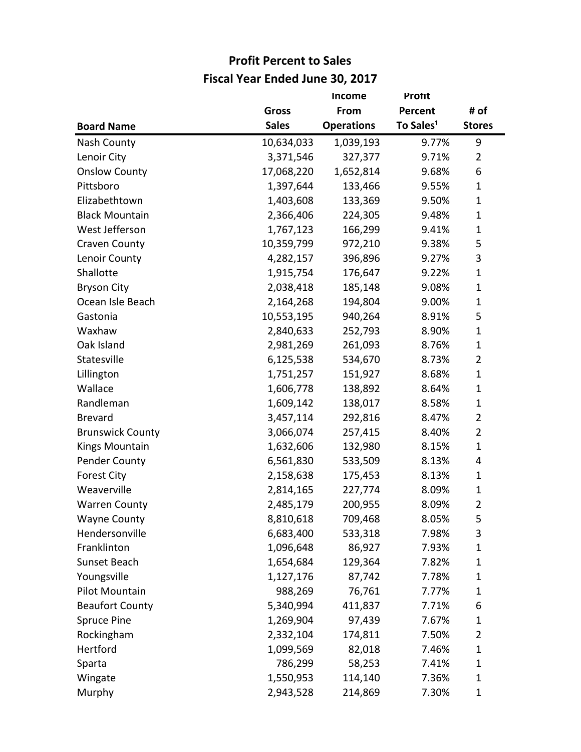|                         |              | Income            | <b>Protit</b>         |                |
|-------------------------|--------------|-------------------|-----------------------|----------------|
|                         | <b>Gross</b> | From              | Percent               | # of           |
| <b>Board Name</b>       | <b>Sales</b> | <b>Operations</b> | To Sales <sup>1</sup> | <b>Stores</b>  |
| Nash County             | 10,634,033   | 1,039,193         | 9.77%                 | 9              |
| Lenoir City             | 3,371,546    | 327,377           | 9.71%                 | $\overline{2}$ |
| <b>Onslow County</b>    | 17,068,220   | 1,652,814         | 9.68%                 | 6              |
| Pittsboro               | 1,397,644    | 133,466           | 9.55%                 | $\mathbf{1}$   |
| Elizabethtown           | 1,403,608    | 133,369           | 9.50%                 | $\mathbf{1}$   |
| <b>Black Mountain</b>   | 2,366,406    | 224,305           | 9.48%                 | 1              |
| West Jefferson          | 1,767,123    | 166,299           | 9.41%                 | $\mathbf{1}$   |
| Craven County           | 10,359,799   | 972,210           | 9.38%                 | 5              |
| Lenoir County           | 4,282,157    | 396,896           | 9.27%                 | 3              |
| Shallotte               | 1,915,754    | 176,647           | 9.22%                 | $\mathbf{1}$   |
| <b>Bryson City</b>      | 2,038,418    | 185,148           | 9.08%                 | $\mathbf{1}$   |
| Ocean Isle Beach        | 2,164,268    | 194,804           | 9.00%                 | 1              |
| Gastonia                | 10,553,195   | 940,264           | 8.91%                 | 5              |
| Waxhaw                  | 2,840,633    | 252,793           | 8.90%                 | $\mathbf{1}$   |
| Oak Island              | 2,981,269    | 261,093           | 8.76%                 | 1              |
| Statesville             | 6,125,538    | 534,670           | 8.73%                 | 2              |
| Lillington              | 1,751,257    | 151,927           | 8.68%                 | $\mathbf{1}$   |
| Wallace                 | 1,606,778    | 138,892           | 8.64%                 | $\mathbf{1}$   |
| Randleman               | 1,609,142    | 138,017           | 8.58%                 | 1              |
| <b>Brevard</b>          | 3,457,114    | 292,816           | 8.47%                 | $\overline{2}$ |
| <b>Brunswick County</b> | 3,066,074    | 257,415           | 8.40%                 | $\overline{2}$ |
| Kings Mountain          | 1,632,606    | 132,980           | 8.15%                 | $\mathbf{1}$   |
| Pender County           | 6,561,830    | 533,509           | 8.13%                 | 4              |
| <b>Forest City</b>      | 2,158,638    | 175,453           | 8.13%                 | 1              |
| Weaverville             | 2,814,165    | 227,774           | 8.09%                 | $\mathbf{1}$   |
| <b>Warren County</b>    | 2,485,179    | 200,955           | 8.09%                 | $\overline{2}$ |
| <b>Wayne County</b>     | 8,810,618    | 709,468           | 8.05%                 | 5              |
| Hendersonville          | 6,683,400    | 533,318           | 7.98%                 | 3              |
| Franklinton             | 1,096,648    | 86,927            | 7.93%                 | $\mathbf{1}$   |
| Sunset Beach            | 1,654,684    | 129,364           | 7.82%                 | 1              |
| Youngsville             | 1,127,176    | 87,742            | 7.78%                 | 1              |
| Pilot Mountain          | 988,269      | 76,761            | 7.77%                 | 1              |
| <b>Beaufort County</b>  | 5,340,994    | 411,837           | 7.71%                 | 6              |
| Spruce Pine             | 1,269,904    | 97,439            | 7.67%                 | 1              |
| Rockingham              | 2,332,104    | 174,811           | 7.50%                 | 2              |
| Hertford                | 1,099,569    | 82,018            | 7.46%                 | 1              |
| Sparta                  | 786,299      | 58,253            | 7.41%                 | 1              |
| Wingate                 | 1,550,953    | 114,140           | 7.36%                 | $\mathbf{1}$   |
| Murphy                  | 2,943,528    | 214,869           | 7.30%                 | 1              |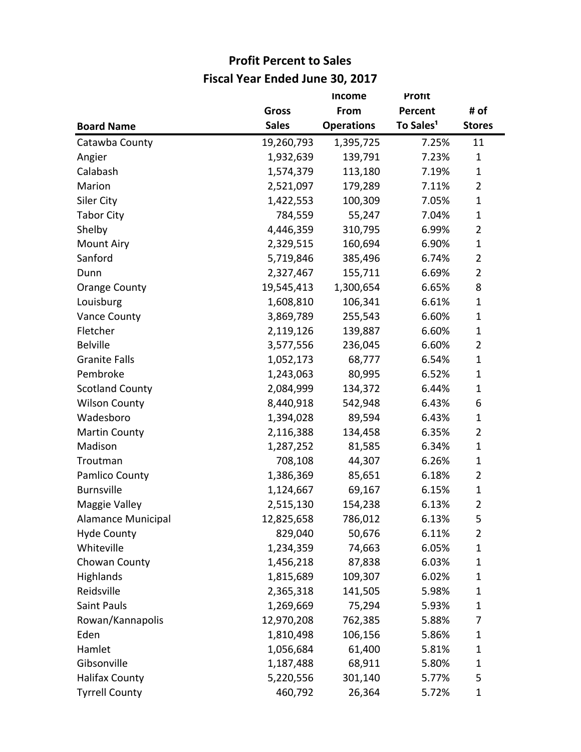|                           |              | <b>Income</b>     | <b>Protit</b>         |                |
|---------------------------|--------------|-------------------|-----------------------|----------------|
|                           | <b>Gross</b> | From              | Percent               | # of           |
| <b>Board Name</b>         | <b>Sales</b> | <b>Operations</b> | To Sales <sup>1</sup> | <b>Stores</b>  |
| Catawba County            | 19,260,793   | 1,395,725         | 7.25%                 | 11             |
| Angier                    | 1,932,639    | 139,791           | 7.23%                 | $\mathbf{1}$   |
| Calabash                  | 1,574,379    | 113,180           | 7.19%                 | $\mathbf{1}$   |
| Marion                    | 2,521,097    | 179,289           | 7.11%                 | $\overline{2}$ |
| Siler City                | 1,422,553    | 100,309           | 7.05%                 | $\mathbf{1}$   |
| <b>Tabor City</b>         | 784,559      | 55,247            | 7.04%                 | $\mathbf{1}$   |
| Shelby                    | 4,446,359    | 310,795           | 6.99%                 | $\overline{2}$ |
| <b>Mount Airy</b>         | 2,329,515    | 160,694           | 6.90%                 | $\mathbf{1}$   |
| Sanford                   | 5,719,846    | 385,496           | 6.74%                 | 2              |
| Dunn                      | 2,327,467    | 155,711           | 6.69%                 | $\overline{2}$ |
| <b>Orange County</b>      | 19,545,413   | 1,300,654         | 6.65%                 | 8              |
| Louisburg                 | 1,608,810    | 106,341           | 6.61%                 | $\mathbf{1}$   |
| <b>Vance County</b>       | 3,869,789    | 255,543           | 6.60%                 | $\mathbf{1}$   |
| Fletcher                  | 2,119,126    | 139,887           | 6.60%                 | $\mathbf{1}$   |
| <b>Belville</b>           | 3,577,556    | 236,045           | 6.60%                 | $\overline{2}$ |
| <b>Granite Falls</b>      | 1,052,173    | 68,777            | 6.54%                 | $\mathbf{1}$   |
| Pembroke                  | 1,243,063    | 80,995            | 6.52%                 | $\mathbf{1}$   |
| <b>Scotland County</b>    | 2,084,999    | 134,372           | 6.44%                 | $\mathbf{1}$   |
| <b>Wilson County</b>      | 8,440,918    | 542,948           | 6.43%                 | 6              |
| Wadesboro                 | 1,394,028    | 89,594            | 6.43%                 | 1              |
| <b>Martin County</b>      | 2,116,388    | 134,458           | 6.35%                 | $\overline{2}$ |
| Madison                   | 1,287,252    | 81,585            | 6.34%                 | $\mathbf{1}$   |
| Troutman                  | 708,108      | 44,307            | 6.26%                 | $\mathbf{1}$   |
| Pamlico County            | 1,386,369    | 85,651            | 6.18%                 | 2              |
| <b>Burnsville</b>         | 1,124,667    | 69,167            | 6.15%                 | $\mathbf{1}$   |
| Maggie Valley             | 2,515,130    | 154,238           | 6.13%                 | $\overline{2}$ |
| <b>Alamance Municipal</b> | 12,825,658   | 786,012           | 6.13%                 | 5              |
| <b>Hyde County</b>        | 829,040      | 50,676            | 6.11%                 | 2              |
| Whiteville                | 1,234,359    | 74,663            | 6.05%                 | $\mathbf{1}$   |
| Chowan County             | 1,456,218    | 87,838            | 6.03%                 | 1              |
| Highlands                 | 1,815,689    | 109,307           | 6.02%                 | 1              |
| Reidsville                | 2,365,318    | 141,505           | 5.98%                 | $\mathbf{1}$   |
| <b>Saint Pauls</b>        | 1,269,669    | 75,294            | 5.93%                 | $\mathbf{1}$   |
| Rowan/Kannapolis          | 12,970,208   | 762,385           | 5.88%                 | 7              |
| Eden                      | 1,810,498    | 106,156           | 5.86%                 | $\mathbf{1}$   |
| Hamlet                    | 1,056,684    | 61,400            | 5.81%                 | 1              |
| Gibsonville               | 1,187,488    | 68,911            | 5.80%                 | 1              |
| <b>Halifax County</b>     | 5,220,556    | 301,140           | 5.77%                 | 5              |
| <b>Tyrrell County</b>     | 460,792      | 26,364            | 5.72%                 | $\mathbf{1}$   |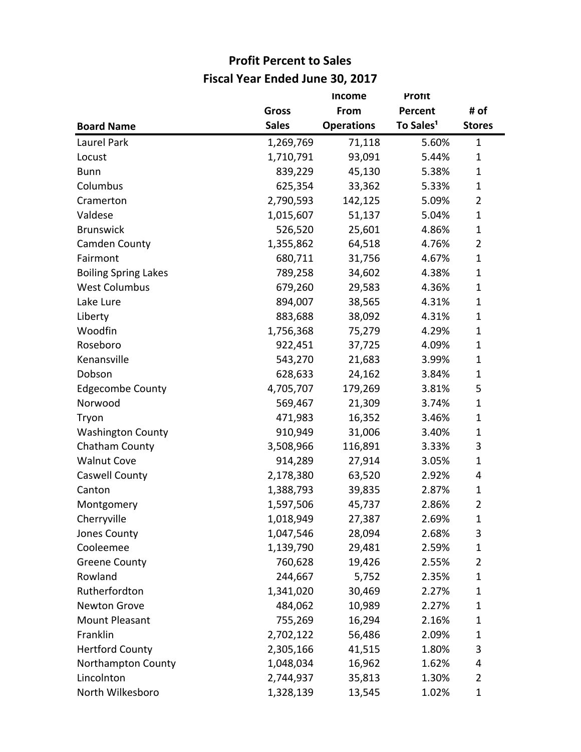|                             |              | <b>Income</b>     | <b>Protit</b>         |                |
|-----------------------------|--------------|-------------------|-----------------------|----------------|
|                             | <b>Gross</b> | From              | Percent               | # of           |
| <b>Board Name</b>           | <b>Sales</b> | <b>Operations</b> | To Sales <sup>1</sup> | <b>Stores</b>  |
| Laurel Park                 | 1,269,769    | 71,118            | 5.60%                 | $\mathbf{1}$   |
| Locust                      | 1,710,791    | 93,091            | 5.44%                 | $\mathbf{1}$   |
| <b>Bunn</b>                 | 839,229      | 45,130            | 5.38%                 | $\mathbf{1}$   |
| Columbus                    | 625,354      | 33,362            | 5.33%                 | $\mathbf{1}$   |
| Cramerton                   | 2,790,593    | 142,125           | 5.09%                 | $\overline{2}$ |
| Valdese                     | 1,015,607    | 51,137            | 5.04%                 | $\mathbf{1}$   |
| <b>Brunswick</b>            | 526,520      | 25,601            | 4.86%                 | $\mathbf{1}$   |
| Camden County               | 1,355,862    | 64,518            | 4.76%                 | $\overline{2}$ |
| Fairmont                    | 680,711      | 31,756            | 4.67%                 | $\mathbf{1}$   |
| <b>Boiling Spring Lakes</b> | 789,258      | 34,602            | 4.38%                 | $\mathbf{1}$   |
| <b>West Columbus</b>        | 679,260      | 29,583            | 4.36%                 | $\mathbf{1}$   |
| Lake Lure                   | 894,007      | 38,565            | 4.31%                 | $\mathbf{1}$   |
| Liberty                     | 883,688      | 38,092            | 4.31%                 | $\mathbf{1}$   |
| Woodfin                     | 1,756,368    | 75,279            | 4.29%                 | $\mathbf{1}$   |
| Roseboro                    | 922,451      | 37,725            | 4.09%                 | $\mathbf{1}$   |
| Kenansville                 | 543,270      | 21,683            | 3.99%                 | $\mathbf{1}$   |
| Dobson                      | 628,633      | 24,162            | 3.84%                 | $\mathbf{1}$   |
| <b>Edgecombe County</b>     | 4,705,707    | 179,269           | 3.81%                 | 5              |
| Norwood                     | 569,467      | 21,309            | 3.74%                 | $\mathbf{1}$   |
| Tryon                       | 471,983      | 16,352            | 3.46%                 | $\mathbf{1}$   |
| <b>Washington County</b>    | 910,949      | 31,006            | 3.40%                 | $\mathbf{1}$   |
| Chatham County              | 3,508,966    | 116,891           | 3.33%                 | 3              |
| <b>Walnut Cove</b>          | 914,289      | 27,914            | 3.05%                 | $\mathbf{1}$   |
| <b>Caswell County</b>       | 2,178,380    | 63,520            | 2.92%                 | 4              |
| Canton                      | 1,388,793    | 39,835            | 2.87%                 | $\mathbf{1}$   |
| Montgomery                  | 1,597,506    | 45,737            | 2.86%                 | $\overline{2}$ |
| Cherryville                 | 1,018,949    | 27,387            | 2.69%                 | $\mathbf{1}$   |
| Jones County                | 1,047,546    | 28,094            | 2.68%                 | 3              |
| Cooleemee                   | 1,139,790    | 29,481            | 2.59%                 | $\mathbf{1}$   |
| <b>Greene County</b>        | 760,628      | 19,426            | 2.55%                 | $\overline{2}$ |
| Rowland                     | 244,667      | 5,752             | 2.35%                 | $\mathbf{1}$   |
| Rutherfordton               | 1,341,020    | 30,469            | 2.27%                 | $\mathbf{1}$   |
| Newton Grove                | 484,062      | 10,989            | 2.27%                 | $\mathbf{1}$   |
| <b>Mount Pleasant</b>       | 755,269      | 16,294            | 2.16%                 | $\mathbf{1}$   |
| Franklin                    | 2,702,122    | 56,486            | 2.09%                 | $\mathbf{1}$   |
| <b>Hertford County</b>      | 2,305,166    | 41,515            | 1.80%                 | 3              |
| Northampton County          | 1,048,034    | 16,962            | 1.62%                 | 4              |
| Lincolnton                  | 2,744,937    | 35,813            | 1.30%                 | $\overline{2}$ |
| North Wilkesboro            | 1,328,139    | 13,545            | 1.02%                 | $\mathbf{1}$   |